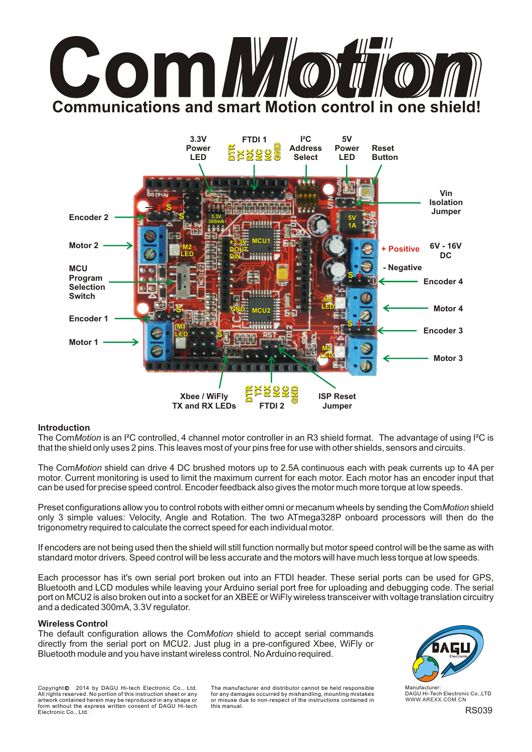# **AM Communications and smart Motion control in one shield**



#### **Introduction**

The Com*Motion* is an I²C controlled, 4 channel motor controller in an R3 shield format. The advantage of using I²C is that the shield only uses 2 pins. This leaves most of your pins free for use with other shields, sensors and circuits.

The Com*Motion* shield can drive 4 DC brushed motors up to 2.5A continuous each with peak currents up to 4A per motor. Current monitoring is used to limit the maximum current for each motor. Each motor has an encoder input that can be used for precise speed control. Encoder feedback also gives the motor much more torque at low speeds.

Preset configurations allow you to control robots with either omni or mecanum wheels by sending the Com*Motion*shield only 3 simple values: Velocity, Angle and Rotation. The two ATmega328P onboard processors will then do the trigonometry required to calculate the correct speed for each individual motor.

If encoders are not being used then the shield will still function normally but motor speed control will be the same as with standard motor drivers. Speed control will be less accurate and the motors will have much less torque at low speeds.

Each processor has it's own serial port broken out into an FTDI header. These serial ports can be used for GPS, Bluetooth and LCD modules while leaving your Arduino serial port free for uploading and debugging code. The serial port on MCU2 is also broken out into a socket for an XBEE or WiFly wireless transceiver with voltage translation circuitry and a dedicated 300mA, 3.3V regulator.

#### **Wireless Control**

The default configuration allows the Com*Motion* shield to accept serial commands directly from the serial port on MCU2. Just plug in a pre-configured Xbee, WiFly or Bluetooth module and you have instant wireless control. No Arduino required.

Copyright© 2014 by DAGU Hi-tech Electronic Co., Ltd. All rights reserved. No portion of this instruction sheet or any artwork contained herein may be reproduced in any shape or form without the express written consent of DAGU Hi-tech Electronic Co., Ltd. The manufacturer and distributor cannot be held responsible for any damages occurred by mishandling, mounting mistakes or misuse due to non-respect of the instructions contained in this manual.



WWW.AREXX.COM.CN DAGU Hi-Tech Electronic Co.,LTD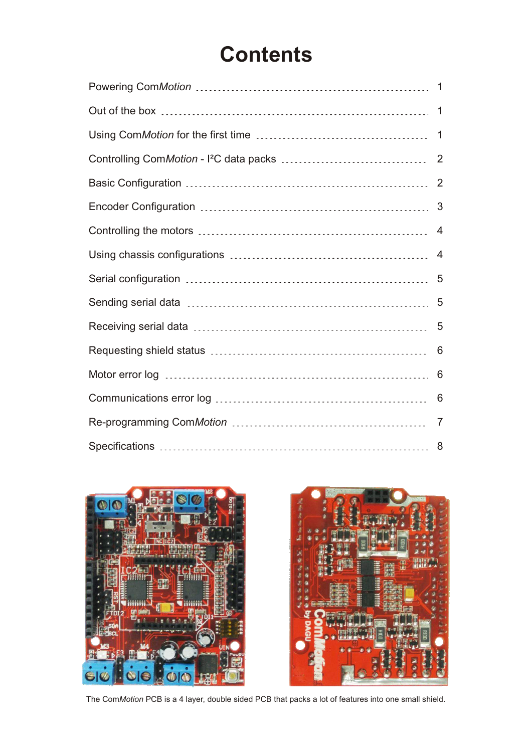## **Contents**

| $\mathbf 1$ |
|-------------|
|             |
|             |
|             |
| 3           |
| 4           |
|             |
|             |
|             |
|             |
| 6           |
| 6           |
| 6           |
| 7           |
|             |





The Com*Motion* PCB is a 4 layer, double sided PCB that packs a lot of features into one small shield.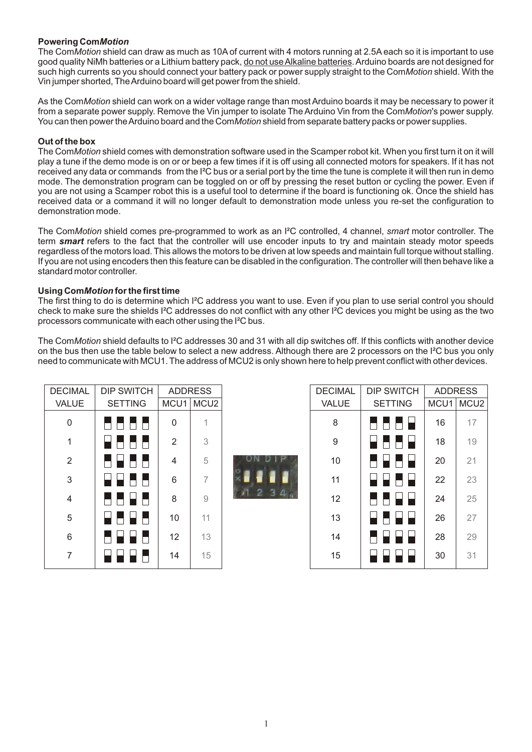#### **Powering Com***Motion*

The Com*Motion* shield can draw as much as 10Aof current with 4 motors running at 2.5Aeach so it is important to use good quality NiMh batteries or a Lithium battery pack, do not use Alkaline batteries. Arduino boards are not designed for such high currents so you should connect your battery pack or power supply straight to the Com*Motion*shield. With the Vin jumper shorted, The Arduino board will get power from the shield.

As the Com*Motion* shield can work on a wider voltage range than most Arduino boards it may be necessary to power it from a separate power supply. Remove the Vin jumper to isolate The Arduino Vin from the Com*Motion*'s power supply. You can then power the Arduino board and the Com*Motion*shield from separate battery packs or power supplies.

#### **Out of the box**

The Com*Motion*shield comes with demonstration software used in the Scamper robot kit. When you first turn it on it will play a tune if the demo mode is on or or beep a few times if it is off using all connected motors for speakers. If it has not received any data or commands from the I²C bus or a serial port by the time the tune is complete it will then run in demo mode. The demonstration program can be toggled on or off by pressing the reset button or cycling the power. Even if you are not using a Scamper robot this is a useful tool to determine if the board is functioning ok. Once the shield has received data or a command it will no longer default to demonstration mode unless you re-set the configuration to demonstration mode.

The Com*Motion* shield comes pre-programmed to work as an I²C controlled, 4 channel, *smart* motor controller. The term *smart* refers to the fact that the controller will use encoder inputs to try and maintain steady motor speeds regardless of the motors load. This allows the motors to be driven at low speeds and maintain full torque without stalling. If you are not using encoders then this feature can be disabled in the configuration. The controller will then behave like a standard motor controller.

#### **Using Com***Motion* **for the first time**

The first thing to do is determine which I²C address you want to use. Even if you plan to use serial control you should check to make sure the shields I²C addresses do not conflict with any other I²C devices you might be using as the two processors communicate with each other using the I²C bus.

The Com*Motion* shield defaults to I²C addresses 30 and 31 with all dip switches off. If this conflicts with another device on the bus then use the table below to select a new address. Although there are 2 processors on the I²C bus you only need to communicate with MCU1. The address of MCU2 is only shown here to help prevent conflict with other devices.

| <b>DECIMAL</b> | <b>DIP SWITCH</b> |                | <b>ADDRESS</b> |
|----------------|-------------------|----------------|----------------|
| <b>VALUE</b>   | <b>SETTING</b>    |                | MCU1 MCU2      |
| 0              | a a shekar        | 0              |                |
| 1              |                   | $\overline{2}$ | 3              |
| $\overline{2}$ | 1 F F             | 4              | 5              |
| 3              |                   | 6              | 7              |
| 4              |                   | 8              | 9              |
| 5              |                   | 10             | 11             |
| 6              |                   | 12             | 13             |
| 7              |                   | 14             | 15             |



| <b>DECIMAL</b> | DIP SWITCH     |      | <b>ADDRESS</b>   |
|----------------|----------------|------|------------------|
| <b>VALUE</b>   | <b>SETTING</b> | MCU1 | MCU <sub>2</sub> |
| 8              |                | 16   | 17               |
| 9              |                | 18   | 19               |
| 10             | ▛▏▙            | 20   | 21               |
| 11             | H H            | 22   | 23               |
| 12             |                | 24   | 25               |
| 13             | нь<br>U M      | 26   | 27               |
| 14             |                | 28   | 29               |
| 15             |                | 30   | 31               |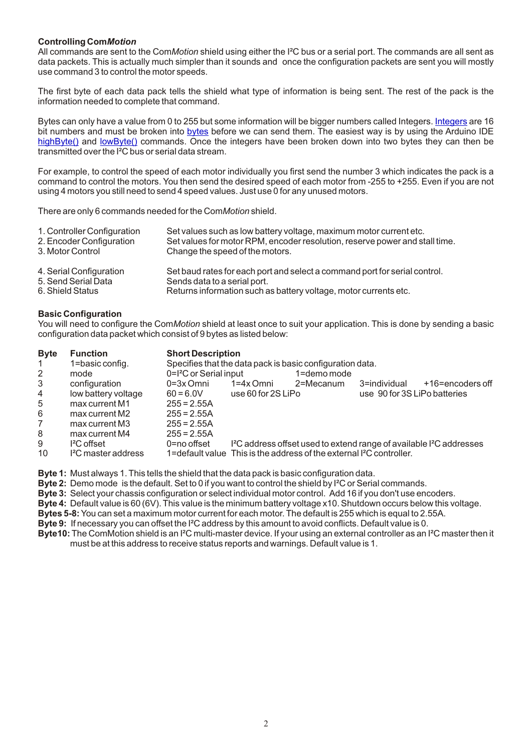#### **Controlling Com***Motion*

All commands are sent to the Com*Motion* shield using either the I²C bus or a serial port. The commands are all sent as data packets. This is actually much simpler than it sounds and once the configuration packets are sent you will mostly use command 3 to control the motor speeds.

The first byte of each data pack tells the shield what type of information is being sent. The rest of the pack is the information needed to complete that command.

Bytescan only have a value from 0 to 255 but some information will be bigger numbers called Integers. <u>Integers</u> are 16 bitnumbers and must be broken into <u>bytes</u> before we can send them. The easiest way is by using the Arduino IDE [highByte\(\)](http://arduino.cc/en/Reference/HighByte) and [lowByte\(\)](http://arduino.cc/en/Reference/LowByte) commands. Once the integers have been broken down into two bytes they can then be transmitted over the I²C bus or serial data stream.

For example, to control the speed of each motor individually you first send the number 3 which indicates the pack is a command to control the motors. You then send the desired speed of each motor from -255 to +255. Even if you are not using 4 motors you still need to send 4 speed values. Just use 0 for any unused motors.

There are only 6 commands needed for the Com*Motion*shield.

| 1. Controller Configuration | Set values such as low battery voltage, maximum motor current etc.          |
|-----------------------------|-----------------------------------------------------------------------------|
| 2. Encoder Configuration    | Set values for motor RPM, encoder resolution, reserve power and stall time. |
| 3. Motor Control            | Change the speed of the motors.                                             |
| 4. Serial Configuration     | Set baud rates for each port and select a command port for serial control.  |
| 5. Send Serial Data         | Sends data to a serial port.                                                |
| 6. Shield Status            | Returns information such as battery voltage, motor currents etc.            |

#### **Basic Configuration**

You will need to configure the Com*Motion* shield at least once to suit your application. This is done by sending a basic configuration data packet which consist of 9 bytes as listed below:

| <b>Byte</b>    | <b>Function</b>                 | <b>Short Description</b>           |                    |                                                                                  |                              |                                                                                              |
|----------------|---------------------------------|------------------------------------|--------------------|----------------------------------------------------------------------------------|------------------------------|----------------------------------------------------------------------------------------------|
| 1.             | 1=basic config.                 |                                    |                    | Specifies that the data pack is basic configuration data.                        |                              |                                                                                              |
| $\overline{2}$ | mode                            | 0=l <sup>2</sup> C or Serial input |                    | 1=demo mode                                                                      |                              |                                                                                              |
| 3              | configuration                   | $0=3x$ Omni                        | $1=4x$ Omni        | 2=Mecanum                                                                        | 3=individual                 | +16=encoders off                                                                             |
| 4              | low battery voltage             | $60 = 6.0V$                        | use 60 for 2S LiPo |                                                                                  | use 90 for 3S LiPo batteries |                                                                                              |
| 5              | max current M1                  | $255 = 2.55A$                      |                    |                                                                                  |                              |                                                                                              |
| 6              | max current M2                  | $255 = 2.55A$                      |                    |                                                                                  |                              |                                                                                              |
| 7              | max current M3                  | $255 = 2.55A$                      |                    |                                                                                  |                              |                                                                                              |
| 8              | max current M4                  | $255 = 2.55A$                      |                    |                                                                                  |                              |                                                                                              |
| 9              | $\mathsf{I}^2\mathsf{C}$ offset | $0 = no$ offset                    |                    |                                                                                  |                              | I <sup>2</sup> C address offset used to extend range of available I <sup>2</sup> C addresses |
| 10             | <sup>2</sup> C master address   |                                    |                    | 1=default value This is the address of the external I <sup>2</sup> C controller. |                              |                                                                                              |

**Byte 1:** Must always 1. This tells the shield that the data pack is basic configuration data.

**Byte 2:** Demo mode is the default. Set to 0 if you want to control the shield by I²C or Serial commands.

**Byte 3:** Select your chassis configuration or select individual motor control. Add 16 if you don't use encoders.

**Byte 4:** Default value is 60 (6V). This value is the minimum battery voltage x10. Shutdown occurs below this voltage.

**Bytes 5-8:**You can set a maximum motor current for each motor. The default is 255 which is equal to 2.55A.

**Byte 9:** If necessary you can offset the I²C address by this amount to avoid conflicts. Default value is 0.

**Byte10:** The ComMotion shield is an I<sup>2</sup>C multi-master device. If your using an external controller as an I<sup>2</sup>C master then it must be at this address to receive status reports and warnings. Default value is 1.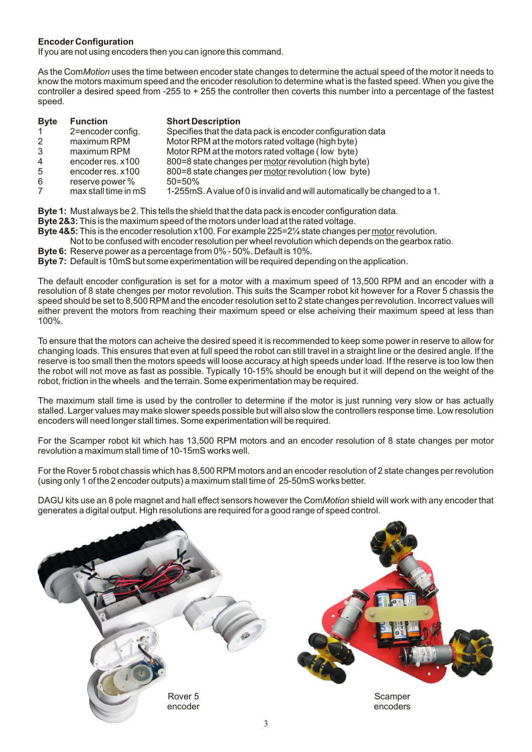#### **Encoder Configuration**

If you are not using encoders then you can ignore this command.

As the Com*Motion*uses the time between encoder state changes to determine the actual speed of the motor it needs to know the motors maximum speed and the encoder resolution to determine what is the fasted speed. When you give the controller a desired speed from -255 to + 255 the controller then coverts this number into a percentage of the fastest speed.

| <b>Byte</b>    | <b>Function</b>      | <b>Short Description</b>                                                   |
|----------------|----------------------|----------------------------------------------------------------------------|
| 1              | 2=encoder config.    | Specifies that the data pack is encoder configuration data                 |
| $\overline{2}$ | maximum RPM          | Motor RPM at the motors rated voltage (high byte)                          |
| 3              | maximum RPM          | Motor RPM at the motors rated voltage (low byte)                           |
| 4              | encoder res. x100    | 800=8 state changes per motor revolution (high byte)                       |
| 5              | encoder res. x100    | 800=8 state changes per motor revolution (low byte)                        |
| 6              | reserve power %      | $50 = 50\%$                                                                |
| $\overline{7}$ | max stall time in mS | 1-255mS. A value of 0 is invalid and will automatically be changed to a 1. |

**Byte 1:** Must always be 2. This tells the shield that the data pack is encoder configuration data.

- **Byte 2&3:**This is the maximum speed of the motors under load at the rated voltage.
- **Byte 4&5:**This is the encoder resolution x100. For example 225=2¼ state changes per motor revolution.
- Not to be confused with encoder resolution per wheel revolution which depends on the gearbox ratio.
- **Byte 6:** Reserve power as a percentage from 0% 50%. Default is 10%.
- **Byte 7:** Default is 10mS but some experimentation will be required depending on the application.

The default encoder configuration is set for a motor with a maximum speed of 13,500 RPM and an encoder with a resolution of 8 state chenges per motor revolution. This suits the Scamper robot kit however for a Rover 5 chassis the speed should be set to 8,500 RPM and the encoder resolution set to 2 state changes per revolution. Incorrect values will either prevent the motors from reaching their maximum speed or else acheiving their maximum speed at less than 100%.

To ensure that the motors can acheive the desired speed it is recommended to keep some power in reserve to allow for changing loads. This ensures that even at full speed the robot can still travel in a straight line or the desired angle. If the reserve is too small then the motors speeds will loose accuracy at high speeds under load. If the reserve is too low then the robot will not move as fast as possible. Typically 10-15% should be enough but it will depend on the weight of the robot, friction in the wheels and the terrain. Some experimentation may be required.

The maximum stall time is used by the controller to determine if the motor is just running very slow or has actually stalled. Larger values may make slower speeds possible but will also slow the controllers response time. Low resolution encoders will need longer stall times. Some experimentation will be required.

For the Scamper robot kit which has 13,500 RPM motors and an encoder resolution of 8 state changes per motor revolution a maximum stall time of 10-15mS works well.

For the Rover 5 robot chassis which has 8,500 RPM motors and an encoder resolution of 2 state changes per revolution (using only 1 of the 2 encoder outputs) a maximum stall time of 25-50mS works better.

DAGU kits use an 8 pole magnet and hall effect sensors however the Com*Motion*shield will work with any encoder that generates a digital output. High resolutions are required for a good range of speed control.

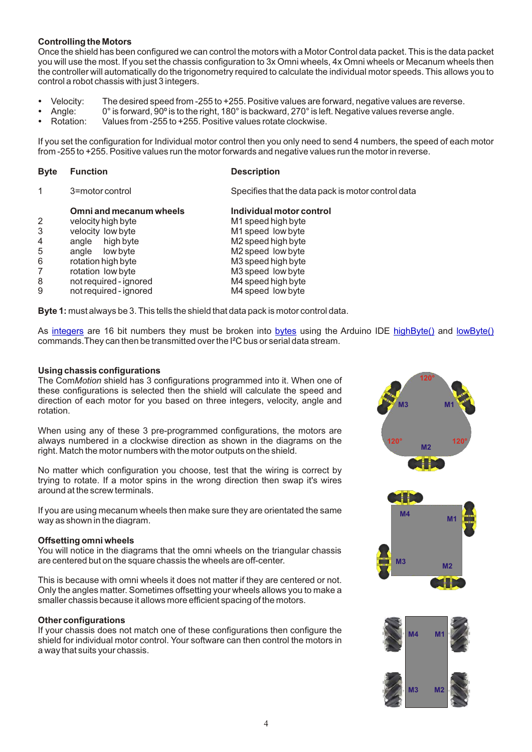#### **Controlling the Motors**

Once the shield has been configured we can control the motors with a Motor Control data packet. This is the data packet you will use the most. If you set the chassis configuration to 3x Omni wheels, 4x Omni wheels or Mecanum wheels then the controller will automatically do the trigonometry required to calculate the individual motor speeds. This allows you to control a robot chassis with just 3 integers.

- 
- Velocity: The desired speed from -255 to +255. Positive values are forward, negative values are reverse.<br>• Angle: 0° is forward, 90° is to the right, 180° is backward, 270° is left. Negative values reverse angle. Angle: 0° is forward, 90º is to the right, 180° is backward, 270° is left. Negative values reverse angle.
- Rotation: Values from -255 to +255. Positive values rotate clockwise.

If you set the configuration for Individual motor control then you only need to send 4 numbers, the speed of each motor from -255 to +255. Positive values run the motor forwards and negative values run the motor in reverse.

| <b>Byte</b>                | <b>Function</b>                                                                                                                                                                                        | <b>Description</b>                                                                                                                                                                                   |
|----------------------------|--------------------------------------------------------------------------------------------------------------------------------------------------------------------------------------------------------|------------------------------------------------------------------------------------------------------------------------------------------------------------------------------------------------------|
|                            | 3=motor control                                                                                                                                                                                        | Specifies that the data pack is motor control data                                                                                                                                                   |
| 3<br>4<br>5<br>6<br>8<br>9 | Omni and mecanum wheels<br>velocity high byte<br>velocity low byte<br>angle high byte<br>angle low byte<br>rotation high byte<br>rotation low byte<br>not required - ignored<br>not required - ignored | Individual motor control<br>M1 speed high byte<br>M1 speed low byte<br>M2 speed high byte<br>M2 speed low byte<br>M3 speed high byte<br>M3 speed low byte<br>M4 speed high byte<br>M4 speed low byte |
|                            |                                                                                                                                                                                                        |                                                                                                                                                                                                      |

**Byte 1:** must always be 3. This tells the shield that data pack is motor control data.

As <u>integers</u> are 16 bit numbers they must be broken into <u>bytes</u> using the Arduino IDE <u>highByte()</u> and <u>lowByte(</u>) commands.They can then be transmitted over the I²C bus or serial data stream.

#### **Using chassis configurations**

The Com*Motion* shield has 3 configurations programmed into it. When one of these configurations is selected then the shield will calculate the speed and direction of each motor for you based on three integers, velocity, angle and rotation.

When using any of these 3 pre-programmed configurations, the motors are always numbered in a clockwise direction as shown in the diagrams on the right. Match the motor numbers with the motor outputs on the shield.

No matter which configuration you choose, test that the wiring is correct by trying to rotate. If a motor spins in the wrong direction then swap it's wires around at the screw terminals.

If you are using mecanum wheels then make sure they are orientated the same way as shown in the diagram.

#### **Offsetting omni wheels**

You will notice in the diagrams that the omni wheels on the triangular chassis are centered but on the square chassis the wheels are off-center.

This is because with omni wheels it does not matter if they are centered or not. Only the angles matter. Sometimes offsetting your wheels allows you to make a smaller chassis because it allows more efficient spacing of the motors.

#### **Other configurations**

If your chassis does not match one of these configurations then configure the shield for individual motor control. Your software can then control the motors in a way that suits your chassis.



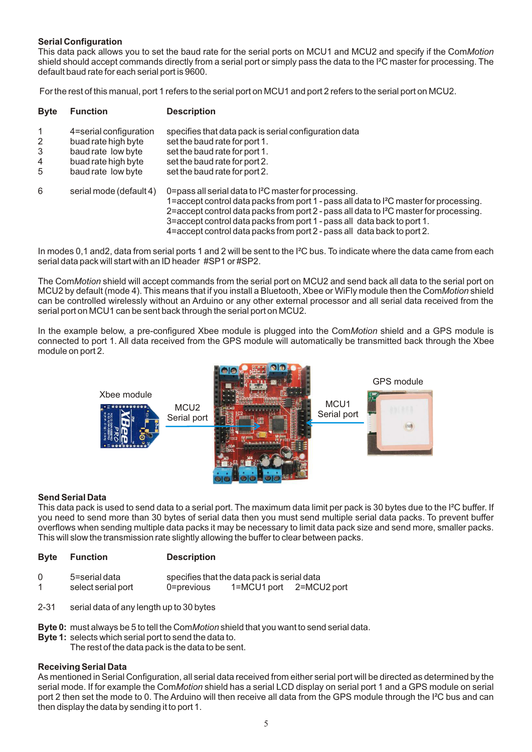#### **Serial Configuration**

This data pack allows you to set the baud rate for the serial ports on MCU1 and MCU2 and specify if the Com*Motion* shield should accept commands directly from a serial port or simply pass the data to the I²C master for processing. The default baud rate for each serial port is 9600.

For the rest of this manual, port 1 refers to the serial port on MCU1 and port 2 refers to the serial port on MCU2.

| <b>Byte</b>           | <b>Function</b>                                                                                                  | <b>Description</b>                                                                                                                                                                                                                                                                                                                                                                                                                  |
|-----------------------|------------------------------------------------------------------------------------------------------------------|-------------------------------------------------------------------------------------------------------------------------------------------------------------------------------------------------------------------------------------------------------------------------------------------------------------------------------------------------------------------------------------------------------------------------------------|
| 1<br>2<br>3<br>4<br>5 | 4=serial configuration<br>buad rate high byte<br>baud rate low byte<br>buad rate high byte<br>baud rate low byte | specifies that data pack is serial configuration data<br>set the baud rate for port 1.<br>set the baud rate for port 1.<br>set the baud rate for port 2.<br>set the baud rate for port 2.                                                                                                                                                                                                                                           |
| 6                     | serial mode (default 4)                                                                                          | 0=pass all serial data to l <sup>2</sup> C master for processing.<br>1=accept control data packs from port 1 - pass all data to I <sup>2</sup> C master for processing.<br>2=accept control data packs from port 2 - pass all data to I <sup>2</sup> C master for processing.<br>3=accept control data packs from port 1 - pass all data back to port 1.<br>4=accept control data packs from port 2 - pass all data back to port 2. |

In modes 0,1 and 2, data from serial ports 1 and 2 will be sent to the I<sup>2</sup>C bus. To indicate where the data came from each serial data pack will start with an ID header #SP1 or #SP2.

The Com*Motion* shield will accept commands from the serial port on MCU2 and send back all data to the serial port on MCU2 by default (mode 4). This means that if you install a Bluetooth, Xbee or WiFly module then the Com*Motion*shield can be controlled wirelessly without an Arduino or any other external processor and all serial data received from the serial port on MCU1 can be sent back through the serial port on MCU2.

In the example below, a pre-configured Xbee module is plugged into the Com*Motion* shield and a GPS module is connected to port 1. All data received from the GPS module will automatically be transmitted back through the Xbee module on port 2.



#### **Send Serial Data**

This data pack is used to send data to a serial port. The maximum data limit per pack is 30 bytes due to the I<sup>2</sup>C buffer. If you need to send more than 30 bytes of serial data then you must send multiple serial data packs. To prevent buffer overflows when sending multiple data packs it may be necessary to limit data pack size and send more, smaller packs. This will slow the transmission rate slightly allowing the buffer to clear between packs.

| <b>Byte Function</b> |  | <b>Description</b> |
|----------------------|--|--------------------|
|                      |  | .                  |

| 0 | 5=serial data      |            | specifies that the data pack is serial data |             |
|---|--------------------|------------|---------------------------------------------|-------------|
|   | select serial port | 0=previous | 1=MCU1 port                                 | 2=MCU2 port |

- 2-31 serial data of any length up to 30 bytes
- **Byte 0:** must always be 5 to tell the Com*Motion*shield that you want to send serial data.
- **Byte 1:** selects which serial port to send the data to.
	- The rest of the data pack is the data to be sent.

#### **Receiving Serial Data**

As mentioned in Serial Configuration, all serial data received from either serial port will be directed as determined by the serial mode. If for example the Com*Motion* shield has a serial LCD display on serial port 1 and a GPS module on serial port 2 then set the mode to 0. The Arduino will then receive all data from the GPS module through the I<sup>2</sup>C bus and can then display the data by sending it to port 1.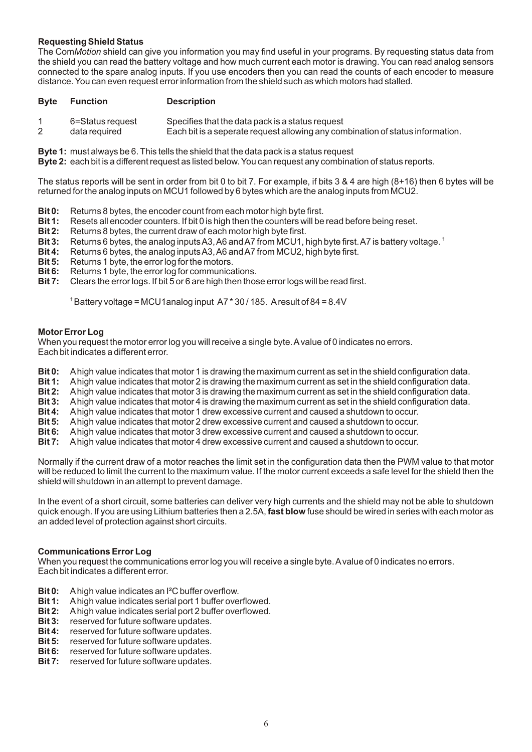#### **Requesting Shield Status**

The Com*Motion* shield can give you information you may find useful in your programs. By requesting status data from the shield you can read the battery voltage and how much current each motor is drawing. You can read analog sensors connected to the spare analog inputs. If you use encoders then you can read the counts of each encoder to measure distance. You can even request error information from the shield such as which motors had stalled.

#### **Byte Function Description**

- 1 6=Status request Specifies that the data pack is a status request
	- Each bit is a seperate request allowing any combination of status information.

**Byte 1:** must always be 6. This tells the shield that the data pack is a status request

**Byte 2:** each bit is a different request as listed below. You can request any combination of status reports.

The status reports will be sent in order from bit 0 to bit 7. For example, if bits 3 & 4 are high (8+16) then 6 bytes will be returned for the analog inputs on MCU1 followed by 6 bytes which are the analog inputs from MCU2.

- **Bit 0:** Returns 8 bytes, the encoder count from each motor high byte first.<br>**Bit 1:** Resets all encoder counters. If bit 0 is high then the counters will be
- **Bit 1:** Resets all encoder counters. If bit 0 is high then the counters will be read before being reset.<br>**Bit 2:** Returns 8 bytes, the current draw of each motor high byte first.
- **Bit 2:** Returns 8 bytes, the current draw of each motor high byte first.<br>**Bit 3:** Returns 6 bytes, the analog inputs A3, A6 and A7 from MCU1.
- **Bit 3:** Returns 6 bytes, the analog inputs A3, A6 and A7 from MCU1, high byte first. A7 is battery voltage. <sup>†</sup><br>**Bit 4:** Returns 6 bytes. the analog inputs A3, A6 and A7 from MCU2, high byte first.
- **Bit 4:** Returns 6 bytes, the analog inputs A3, A6 and A7 from MCU2, high byte first.<br>**Bit 5:** Returns 1 byte, the error log for the motors.
- **Bit 5:** Returns 1 byte, the error log for the motors.<br>**Bit 6:** Returns 1 byte, the error log for communica
- **Bit 6:** Returns 1 byte, the error log for communications.<br>**Bit 7:** Clears the error logs If bit 5 or 6 are high then thos
- **Bit 7:** Clears the error logs. If bit 5 or 6 are high then those error logs will be read first.

 $^{\dagger}$ Battery voltage = MCU1analog input A7  $*$  30 / 185. Aresult of 84 = 8.4V

#### **Motor Error Log**

When you request the motor error log you will receive a single byte. A value of 0 indicates no errors. Each bit indicates a different error.

- **Bit 0:** Ahigh value indicates that motor 1 is drawing the maximum current as set in the shield configuration data.
- **Bit 1:** Ahigh value indicates that motor 2 is drawing the maximum current as set in the shield configuration data.
- **Bit 2:** Ahigh value indicates that motor 3 is drawing the maximum current as set in the shield configuration data.
- **Bit 3:** Ahigh value indicates that motor 4 is drawing the maximum current as set in the shield configuration data.
- **Bit 4:** Ahigh value indicates that motor 1 drew excessive current and caused a shutdown to occur.<br>**Bit 5:** A high value indicates that motor 2 drew excessive current and caused a shutdown to occur.
- **Bit 5:** A high value indicates that motor 2 drew excessive current and caused a shutdown to occur.<br>**Bit 6:** A high value indicates that motor 3 drew excessive current and caused a shutdown to occur.
- **Bit 6:** A high value indicates that motor 3 drew excessive current and caused a shutdown to occur.<br>**Bit 7:** A high value indicates that motor 4 drew excessive current and caused a shutdown to occur.
- **Bit 7:** Ahigh value indicates that motor 4 drew excessive current and caused a shutdown to occur.

Normally if the current draw of a motor reaches the limit set in the configuration data then the PWM value to that motor will be reduced to limit the current to the maximum value. If the motor current exceeds a safe level for the shield then the shield will shutdown in an attempt to prevent damage.

In the event of a short circuit, some batteries can deliver very high currents and the shield may not be able to shutdown quick enough. If you are using Lithium batteries then a 2.5A, **fast blow** fuse should be wired in series with each motor as an added level of protection against short circuits.

#### **Communications Error Log**

When you request the communications error log you will receive a single byte. Avalue of 0 indicates no errors. Each bit indicates a different error.

- **Bit 0:** Ahigh value indicates an I²C buffer overflow.
- **Bit 1:** Ahigh value indicates serial port 1 buffer overflowed.
- **Bit 2:** A high value indicates serial port 2 buffer overflowed.<br>**Bit 3:** reserved for future software updates.
- **Bit 3:** reserved for future software updates.<br>**Bit 4:** reserved for future software updates.
- **Bit 4:** reserved for future software updates.<br>**Bit 5:** reserved for future software updates.
- **Bit 5:** reserved for future software updates.<br>**Bit 6:** reserved for future software updates.
- **Bit 6:** reserved for future software updates.
- **Bit 7:** reserved for future software updates.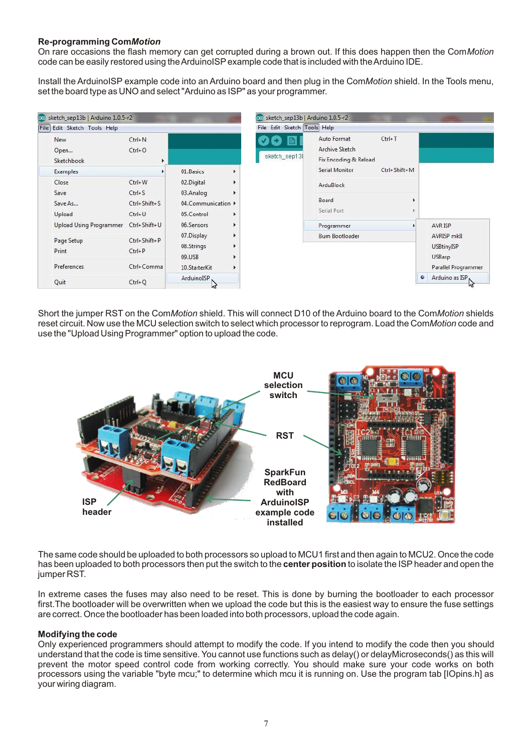#### **Re-programming Com***Motion*

On rare occasions the flash memory can get corrupted during a brown out. If this does happen then the Com*Motion* code can be easily restored using the ArduinoISPexample code that is included with the Arduino IDE.

Install the ArduinoISP example code into an Arduino board and then plug in the Com*Motion* shield. In the Tools menu, set the board type as UNO and select "Arduino as ISP" as your programmer.

| Edit Sketch Tools Help<br>File |                          |                                | File Edit Sketch Tools Help |                                                                    |   |                                    |
|--------------------------------|--------------------------|--------------------------------|-----------------------------|--------------------------------------------------------------------|---|------------------------------------|
| New<br>Open<br>Sketchbook      | $Ctrl + N$<br>$Ctrl + O$ |                                | sketch_sep13                | Auto Format<br>$Ctrl+T$<br>Archive Sketch<br>Fix Encoding & Reload |   |                                    |
| Examples                       |                          | 01.Basics<br>r                 |                             | Serial Monitor<br>Ctrl+Shift+M                                     |   |                                    |
| Close                          | $Ctrl + W$               | 02.Digital<br>k                |                             | ArduBlock                                                          |   |                                    |
| Save                           | $Ctrl + S$               | 03.Analog                      |                             |                                                                    |   |                                    |
| Save As                        | Ctrl+Shift+S             | 04.Communication $\rightarrow$ |                             | Board                                                              | ٠ |                                    |
| Upload                         | $Ctrl + U$               | 05.Control<br>٠                |                             | Serial Port                                                        |   |                                    |
| Upload Using Programmer        | Ctrl+Shift+U             | 06.Sensors<br>k                |                             | Programmer                                                         |   | AVR ISP                            |
| Page Setup                     | Ctrl+Shift+P             | 07.Display<br>Þ                |                             | Burn Bootloader                                                    |   | AVRISP mklI                        |
| Print                          | $Ctrl + P$               | 08.Strings<br>۰<br>09.USB<br>٠ |                             |                                                                    |   | <b>USBtinyISP</b><br><b>USBasp</b> |
| Preferences                    | Ctrl+Comma               | 10.StarterKit<br>b             |                             |                                                                    |   | Parallel Programmer                |
| Quit                           | $Ctrl + Q$               | ArduinoISP,<br>hì              |                             |                                                                    | ۰ | Arduino as ISP                     |

Short the jumper RST on the Com*Motion* shield. This will connect D10 of the Arduino board to the Com*Motion* shields reset circuit. Now use the MCU selection switch to select which processor to reprogram. Load the Com*Motion*code and use the "Upload Using Programmer" option to upload the code.



The same code should be uploaded to both processors so upload to MCU1 first and then again to MCU2. Once the code has been uploaded to both processors then put the switch to the **center position** to isolate the ISPheader and open the jumper RST.

In extreme cases the fuses may also need to be reset. This is done by burning the bootloader to each processor first.The bootloader will be overwritten when we upload the code but this is the easiest way to ensure the fuse settings are correct. Once the bootloader has been loaded into both processors, upload the code again.

#### **Modifying the code**

Only experienced programmers should attempt to modify the code. If you intend to modify the code then you should understand that the code is time sensitive. You cannot use functions such as delay() or delayMicroseconds() as this will prevent the motor speed control code from working correctly. You should make sure your code works on both processors using the variable "byte mcu;" to determine which mcu it is running on. Use the program tab [IOpins.h] as your wiring diagram.